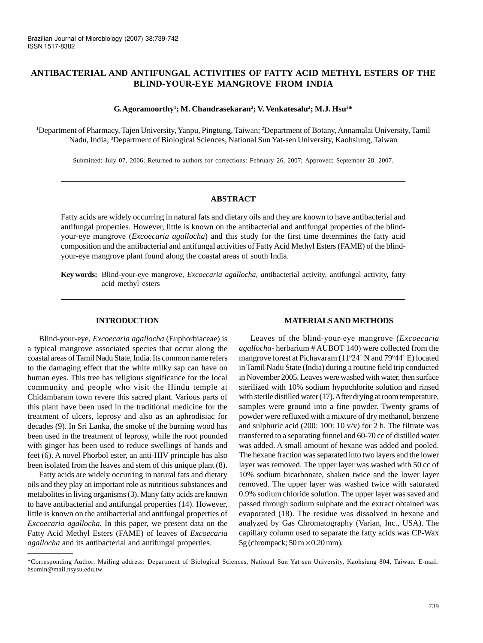# **ANTIBACTERIAL AND ANTIFUNGAL ACTIVITIES OF FATTY ACID METHYL ESTERS OF THE BLIND-YOUR-EYE MANGROVE FROM INDIA**

### $\mathbf{G}.$  Agoramoorthy<sup>1</sup>; M. Chandrasekaran<sup>2</sup>; V. Venkatesalu<sup>2</sup>; M.J. Hsu<sup>3\*</sup>

1 Department of Pharmacy, Tajen University, Yanpu, Pingtung, Taiwan; 2 Department of Botany, Annamalai University, Tamil Nadu, India; 3 Department of Biological Sciences, National Sun Yat-sen University, Kaohsiung, Taiwan

Submitted: July 07, 2006; Returned to authors for corrections: February 26, 2007; Approved: September 28, 2007.

#### **ABSTRACT**

Fatty acids are widely occurring in natural fats and dietary oils and they are known to have antibacterial and antifungal properties. However, little is known on the antibacterial and antifungal properties of the blindyour-eye mangrove (*Excoecaria agallocha*) and this study for the first time determines the fatty acid composition and the antibacterial and antifungal activities of Fatty Acid Methyl Esters (FAME) of the blindyour-eye mangrove plant found along the coastal areas of south India.

**Key words:** Blind-your-eye mangrove, *Excoecaria agallocha, a*ntibacterial activity, antifungal activity, fatty acid methyl esters

#### **INTRODUCTION**

Blind-your-eye, *Excoecaria agallocha* (Euphorbiaceae) is a typical mangrove associated species that occur along the coastal areas of Tamil Nadu State, India. Its common name refers to the damaging effect that the white milky sap can have on human eyes. This tree has religious significance for the local community and people who visit the Hindu temple at Chidambaram town revere this sacred plant. Various parts of this plant have been used in the traditional medicine for the treatment of ulcers, leprosy and also as an aphrodisiac for decades (9). In Sri Lanka, the smoke of the burning wood has been used in the treatment of leprosy, while the root pounded with ginger has been used to reduce swellings of hands and feet (6). A novel Phorbol ester, an anti-HIV principle has also been isolated from the leaves and stem of this unique plant (8).

Fatty acids are widely occurring in natural fats and dietary oils and they play an important role as nutritious substances and metabolites in living organisms (3). Many fatty acids are known to have antibacterial and antifungal properties (14). However, little is known on the antibacterial and antifungal properties of *Excoecaria agallocha*. In this paper, we present data on the Fatty Acid Methyl Esters (FAME) of leaves of *Excoecaria agallocha* and its antibacterial and antifungal properties.

### **MATERIALS AND METHODS**

Leaves of the blind-your-eye mangrove (*Excoecaria agallocha-* herbarium # AUBOT 140) were collected from the mangrove forest at Pichavaram (11º24´ N and 79º44´ E) located in Tamil Nadu State (India) during a routine field trip conducted in November 2005. Leaves were washed with water, then surface sterilized with 10% sodium hypochlorite solution and rinsed with sterile distilled water (17). After drying at room temperature, samples were ground into a fine powder. Twenty grams of powder were refluxed with a mixture of dry methanol, benzene and sulphuric acid (200: 100: 10 v/v) for 2 h. The filtrate was transferred to a separating funnel and 60-70 cc of distilled water was added. A small amount of hexane was added and pooled. The hexane fraction was separated into two layers and the lower layer was removed. The upper layer was washed with 50 cc of 10% sodium bicarbonate, shaken twice and the lower layer removed. The upper layer was washed twice with saturated 0.9% sodium chloride solution. The upper layer was saved and passed through sodium sulphate and the extract obtained was evaporated (18). The residue was dissolved in hexane and analyzed by Gas Chromatography (Varian, Inc., USA). The capillary column used to separate the fatty acids was CP-Wax 5g (chrompack;  $50 \text{ m} \times 0.20 \text{ mm}$ ).

<sup>\*</sup>Corresponding Author. Mailing address: Department of Biological Sciences, National Sun Yat-sen University, Kaohsiung 804, Taiwan. E-mail: hsumin@mail.nsysu.edu.tw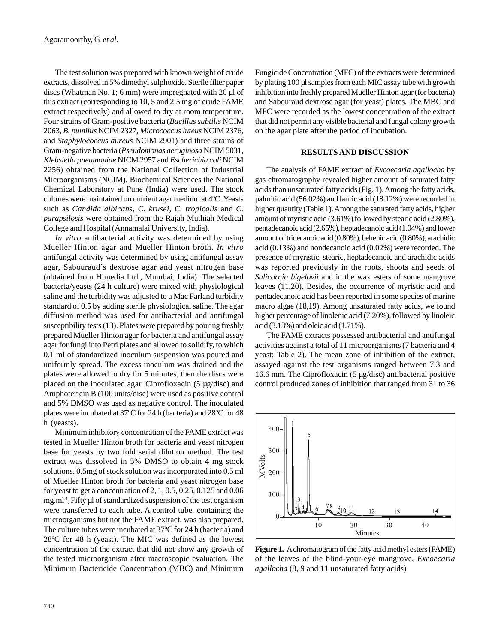The test solution was prepared with known weight of crude extracts, dissolved in 5% dimethyl sulphoxide. Sterile filter paper discs (Whatman No. 1; 6 mm) were impregnated with 20 µl of this extract (corresponding to 10, 5 and 2.5 mg of crude FAME extract respectively) and allowed to dry at room temperature. Four strains of Gram-positive bacteria (*Bacillus subtilis* NCIM 2063, *B. pumilus* NCIM 2327, *Micrococcus luteus* NCIM 2376, and *Staphylococcus aureus* NCIM 2901) and three strains of Gram-negative bacteria (*Pseudomonas aeruginosa* NCIM 5031, *Klebsiella pneumoniae* NICM 2957 and *Escherichia coli* NCIM 2256) obtained from the National Collection of Industrial Microorganisms (NCIM), Biochemical Sciences the National Chemical Laboratory at Pune (India) were used. The stock cultures were maintained on nutrient agar medium at 4ºC. Yeasts such as *Candida albicans*, *C. krusei, C. tropicalis* and *C. parapsilosis* were obtained from the Rajah Muthiah Medical College and Hospital (Annamalai University, India).

*In vitro* antibacterial activity was determined by using Mueller Hinton agar and Mueller Hinton broth. *In vitro* antifungal activity was determined by using antifungal assay agar, Sabouraud's dextrose agar and yeast nitrogen base (obtained from Himedia Ltd., Mumbai, India). The selected bacteria/yeasts (24 h culture) were mixed with physiological saline and the turbidity was adjusted to a Mac Farland turbidity standard of 0.5 by adding sterile physiological saline. The agar diffusion method was used for antibacterial and antifungal susceptibility tests (13). Plates were prepared by pouring freshly prepared Mueller Hinton agar for bacteria and antifungal assay agar for fungi into Petri plates and allowed to solidify, to which 0.1 ml of standardized inoculum suspension was poured and uniformly spread. The excess inoculum was drained and the plates were allowed to dry for 5 minutes, then the discs were placed on the inoculated agar. Ciprofloxacin (5 µg/disc) and Amphotericin B (100 units/disc) were used as positive control and 5% DMSO was used as negative control. The inoculated plates were incubated at 37ºC for 24 h (bacteria) and 28ºC for 48 h (yeasts).

Minimum inhibitory concentration of the FAME extract was tested in Mueller Hinton broth for bacteria and yeast nitrogen base for yeasts by two fold serial dilution method. The test extract was dissolved in 5% DMSO to obtain 4 mg stock solutions. 0.5mg of stock solution was incorporated into 0.5 ml of Mueller Hinton broth for bacteria and yeast nitrogen base for yeast to get a concentration of 2, 1, 0.5, 0.25, 0.125 and 0.06 mg.ml<sup>-1</sup>. Fifty µl of standardized suspension of the test organism were transferred to each tube. A control tube, containing the microorganisms but not the FAME extract, was also prepared. The culture tubes were incubated at 37ºC for 24 h (bacteria) and 28ºC for 48 h (yeast). The MIC was defined as the lowest concentration of the extract that did not show any growth of the tested microorganism after macroscopic evaluation. The Minimum Bactericide Concentration (MBC) and Minimum Fungicide Concentration (MFC) of the extracts were determined by plating 100 µl samples from each MIC assay tube with growth inhibition into freshly prepared Mueller Hinton agar (for bacteria) and Sabouraud dextrose agar (for yeast) plates. The MBC and MFC were recorded as the lowest concentration of the extract that did not permit any visible bacterial and fungal colony growth on the agar plate after the period of incubation.

## **RESULTS AND DISCUSSION**

The analysis of FAME extract of *Excoecaria agallocha* by gas chromatography revealed higher amount of saturated fatty acids than unsaturated fatty acids (Fig. 1). Among the fatty acids, palmitic acid (56.02%) and lauric acid (18.12%) were recorded in higher quantity (Table 1). Among the saturated fatty acids, higher amount of myristic acid (3.61%) followed by stearic acid (2.80%), pentadecanoic acid (2.65%), heptadecanoic acid (1.04%) and lower amount of tridecanoic acid (0.80%), behenic acid (0.80%), arachidic acid (0.13%) and nondecanoic acid (0.02%) were recorded. The presence of myristic, stearic, heptadecanoic and arachidic acids was reported previously in the roots, shoots and seeds of *Salicornia bigelovii* and in the wax esters of some mangrove leaves (11,20). Besides, the occurrence of myristic acid and pentadecanoic acid has been reported in some species of marine macro algae (18,19). Among unsaturated fatty acids, we found higher percentage of linolenic acid (7.20%), followed by linoleic acid (3.13%) and oleic acid (1.71%).

The FAME extracts possessed antibacterial and antifungal activities against a total of 11 microorganisms (7 bacteria and 4 yeast; Table 2). The mean zone of inhibition of the extract, assayed against the test organisms ranged between 7.3 and 16.6 mm. The Ciprofloxacin (5 µg/disc) antibacterial positive control produced zones of inhibition that ranged from 31 to 36



**Figure 1.** A chromatogram of the fatty acid methyl esters (FAME) of the leaves of the blind-your-eye mangrove, *Excoecaria agallocha* (8, 9 and 11 unsaturated fatty acids)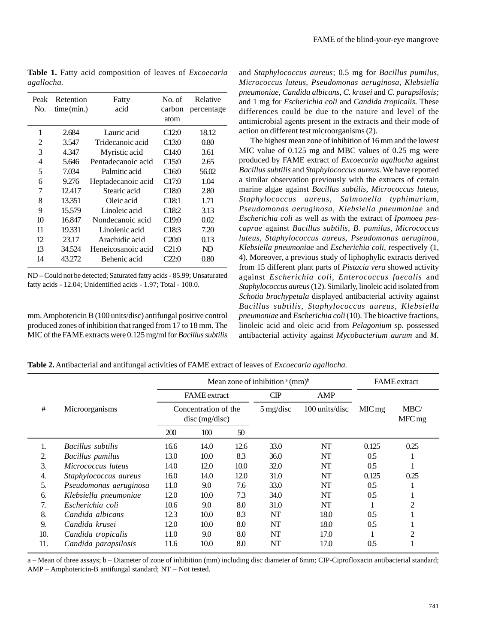| Peak<br>No. | Retention<br>time (min.) | Fatty<br>acid      | No. of<br>carbon<br>atom | Relative<br>percentage |
|-------------|--------------------------|--------------------|--------------------------|------------------------|
| 1           | 2.684                    | Lauric acid        | C <sub>12:0</sub>        | 18.12                  |
| 2           | 3.547                    | Tridecanoic acid   | C13:0                    | 0.80                   |
| 3           | 4.347                    | Myristic acid      | C14:0                    | 3.61                   |
| 4           | 5.646                    | Pentadecanoic acid | C15:0                    | 2.65                   |
| 5           | 7.034                    | Palmitic acid      | C <sub>16:0</sub>        | 56.02                  |
| 6           | 9.276                    | Heptadecanoic acid | C17:0                    | 1.04                   |
| 7           | 12.417                   | Stearic acid       | C <sub>18:0</sub>        | 2.80                   |
| 8           | 13.351                   | Oleic acid         | C <sub>18:1</sub>        | 1.71                   |
| 9           | 15.579                   | Linoleic acid      | C <sub>18:2</sub>        | 3.13                   |
| 10          | 16.847                   | Nondecanoic acid   | C <sub>19:0</sub>        | 0.02                   |
| 11          | 19.331                   | Linolenic acid     | C <sub>18:3</sub>        | 7.20                   |
| 12          | 23.17                    | Arachidic acid     | C20:0                    | 0.13                   |
| 13          | 34.524                   | Heneicosanoic acid | C21:0                    | ND                     |
| 14          | 43.272                   | Behenic acid       | 22:0                     | 0.80                   |

**Table 1.** Fatty acid composition of leaves of *Excoecaria agallocha.*

ND – Could not be detected; Saturated fatty acids - 85.99; Unsaturated fatty acids - 12.04; Unidentified acids - 1.97; Total - 100.0.

mm. Amphotericin B (100 units/disc) antifungal positive control produced zones of inhibition that ranged from 17 to 18 mm. The MIC of the FAME extracts were 0.125 mg/ml for *Bacillus subtilis* and *Staphylococcus aureus*; 0.5 mg for *Bacillus pumilus, Micrococcus luteus, Pseudomonas aeruginosa, Klebsiella pneumoniae, Candida albicans, C. krusei* and *C. parapsilosis;* and 1 mg for *Escherichia coli* and *Candida tropicalis*. These differences could be due to the nature and level of the antimicrobial agents present in the extracts and their mode of action on different test microorganisms (2).

The highest mean zone of inhibition of 16 mm and the lowest MIC value of 0.125 mg and MBC values of 0.25 mg were produced by FAME extract of *Excoecaria agallocha* against *Bacillus subtilis* and *Staphylococcus aureus*. We have reported a similar observation previously with the extracts of certain marine algae against *Bacillus subtilis, Micrococcus luteus, Staphylococcus aureus, Salmonella typhimurium, Pseudomonas aeruginosa, Klebsiella pneumoniae* and *Escherichia coli* as well as with the extract of *Ipomoea pescaprae* against *Bacillus subtilis*, *B. pumilus, Micrococcus luteus, Staphylococcus aureus, Pseudomonas aeruginoa, Klebsiella pneumoniae* and *Escherichia coli,* respectively (1, 4). Moreover, a previous study of liphophylic extracts derived from 15 different plant parts of *Pistacia vera* showed activity against *Escherichia coli, Enterococcus faecalis* and *Staphylococcus aureus* (12). Similarly, linoleic acid isolated from *Schotia brachypetala* displayed antibacterial activity against *Bacillus subtilis*, *Staphylococcus aureus*, *Klebsiella pneumoniae* and *Escherichia coli* (10). The bioactive fractions, linoleic acid and oleic acid from *Pelagonium* sp. possessed antibacterial activity against *Mycobacterium aurum* and *M.*

|  | Table 2. Antibacterial and antifungal activities of FAME extract of leaves of <i>Excoecaria agallocha</i> . |  |  |  |
|--|-------------------------------------------------------------------------------------------------------------|--|--|--|
|  |                                                                                                             |  |  |  |

|                     |                         | Mean zone of inhibition $(a (mm)^b)$     |      |                     |                | <b>FAME</b> extract |                           |                |
|---------------------|-------------------------|------------------------------------------|------|---------------------|----------------|---------------------|---------------------------|----------------|
|                     |                         | <b>FAME</b> extract                      |      | CP                  | AMP            |                     |                           |                |
| #<br>Microorganisms |                         | Concentration of the<br>$disc$ (mg/disc) |      | $5 \text{ mg/disc}$ | 100 units/disc | $MIC$ mg            | MBC/<br>MFC <sub>mg</sub> |                |
|                     |                         | 200                                      | 100  | 50                  |                |                     |                           |                |
| 1.                  | Bacillus subtilis       | 16.6                                     | 14.0 | 12.6                | 33.0           | NT                  | 0.125                     | 0.25           |
| 2.                  | <b>Bacillus</b> pumilus | 13.0                                     | 10.0 | 8.3                 | 36.0           | NT                  | 0.5                       |                |
| 3.                  | Micrococcus luteus      | 14.0                                     | 12.0 | 10.0                | 32.0           | NT                  | 0.5                       |                |
| 4.                  | Staphylococcus aureus   | 16.0                                     | 14.0 | 12.0                | 31.0           | NT                  | 0.125                     | 0.25           |
| 5.                  | Pseudomonas aeruginosa  | 11.0                                     | 9.0  | 7.6                 | 33.0           | NT                  | 0.5                       |                |
| 6.                  | Klebsiella pneumoniae   | 12.0                                     | 10.0 | 7.3                 | 34.0           | NT                  | 0.5                       |                |
| 7.                  | Escherichia coli        | 10.6                                     | 9.0  | 8.0                 | 31.0           | NT                  |                           | 2              |
| 8.                  | Candida albicans        | 12.3                                     | 10.0 | 8.3                 | NT             | 18.0                | 0.5                       |                |
| 9.                  | Candida krusei          | 12.0                                     | 10.0 | 8.0                 | NT             | 18.0                | 0.5                       |                |
| 10.                 | Candida tropicalis      | 11.0                                     | 9.0  | 8.0                 | NT             | 17.0                |                           | $\overline{c}$ |
| 11.                 | Candida parapsilosis    | 11.6                                     | 10.0 | 8.0                 | NT             | 17.0                | 0.5                       | 1              |

a – Mean of three assays; b – Diameter of zone of inhibition (mm) including disc diameter of 6mm; CIP-Ciprofloxacin antibacterial standard; AMP – Amphotericin-B antifungal standard; NT – Not tested.